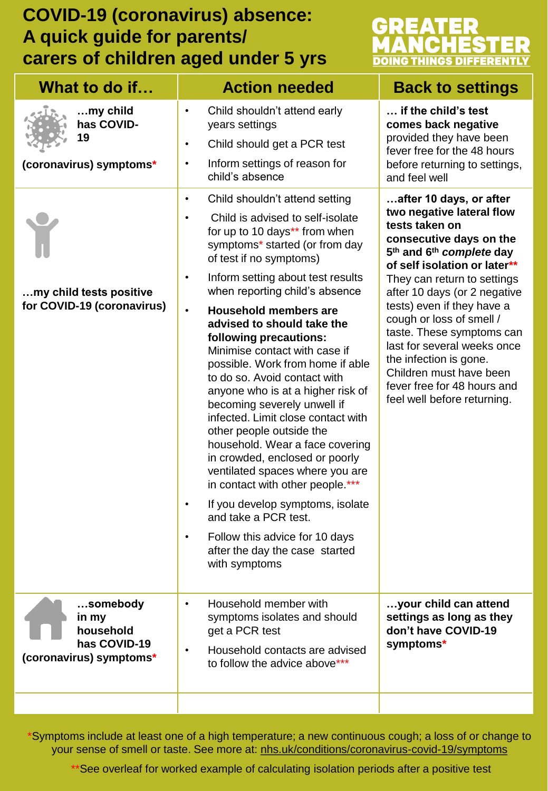## **COVID-19 (coronavirus) absence: A quick guide for parents/ carers of children aged under 5 yrs**



| What to do if                                                             | <b>Action needed</b>                                                                                                                                                                                                                                                                                                                                                                                                                                                                                                                                                                                                                                                                                                                                                                                                                                                         | <b>Back to settings</b>                                                                                                                                                                                                                                                                                                                                                                                                                                            |
|---------------------------------------------------------------------------|------------------------------------------------------------------------------------------------------------------------------------------------------------------------------------------------------------------------------------------------------------------------------------------------------------------------------------------------------------------------------------------------------------------------------------------------------------------------------------------------------------------------------------------------------------------------------------------------------------------------------------------------------------------------------------------------------------------------------------------------------------------------------------------------------------------------------------------------------------------------------|--------------------------------------------------------------------------------------------------------------------------------------------------------------------------------------------------------------------------------------------------------------------------------------------------------------------------------------------------------------------------------------------------------------------------------------------------------------------|
| my child<br>has COVID-<br>19<br>(coronavirus) symptoms*                   | Child shouldn't attend early<br>$\bullet$<br>years settings<br>Child should get a PCR test<br>$\bullet$<br>Inform settings of reason for<br>$\bullet$<br>child's absence<br>Child shouldn't attend setting<br>$\bullet$                                                                                                                                                                                                                                                                                                                                                                                                                                                                                                                                                                                                                                                      | if the child's test<br>comes back negative<br>provided they have been<br>fever free for the 48 hours<br>before returning to settings,<br>and feel well<br>after 10 days, or after                                                                                                                                                                                                                                                                                  |
| my child tests positive<br>for COVID-19 (coronavirus)                     | Child is advised to self-isolate<br>$\bullet$<br>for up to 10 days** from when<br>symptoms* started (or from day<br>of test if no symptoms)<br>Inform setting about test results<br>$\bullet$<br>when reporting child's absence<br><b>Household members are</b><br>$\bullet$<br>advised to should take the<br>following precautions:<br>Minimise contact with case if<br>possible. Work from home if able<br>to do so. Avoid contact with<br>anyone who is at a higher risk of<br>becoming severely unwell if<br>infected. Limit close contact with<br>other people outside the<br>household. Wear a face covering<br>in crowded, enclosed or poorly<br>ventilated spaces where you are<br>in contact with other people.***<br>If you develop symptoms, isolate<br>and take a PCR test.<br>Follow this advice for 10 days<br>after the day the case started<br>with symptoms | two negative lateral flow<br>tests taken on<br>consecutive days on the<br>5 <sup>th</sup> and 6 <sup>th</sup> complete day<br>of self isolation or later**<br>They can return to settings<br>after 10 days (or 2 negative<br>tests) even if they have a<br>cough or loss of smell /<br>taste. These symptoms can<br>last for several weeks once<br>the infection is gone.<br>Children must have been<br>fever free for 48 hours and<br>feel well before returning. |
| somebody<br>in my<br>household<br>has COVID-19<br>(coronavirus) symptoms* | Household member with<br>$\bullet$<br>symptoms isolates and should<br>get a PCR test<br>Household contacts are advised<br>to follow the advice above***                                                                                                                                                                                                                                                                                                                                                                                                                                                                                                                                                                                                                                                                                                                      | your child can attend<br>settings as long as they<br>don't have COVID-19<br>symptoms*                                                                                                                                                                                                                                                                                                                                                                              |

your sense of smell or taste. See more at: [nhs.uk/conditions/coronavirus-covid-19/symptoms](https://www.nhs.uk/conditions/coronavirus-covid-19/symptoms/) \*Symptoms include at least one of a high temperature; a new continuous cough; a loss of or change to

\*\*See overleaf for worked example of calculating isolation periods after a positive test